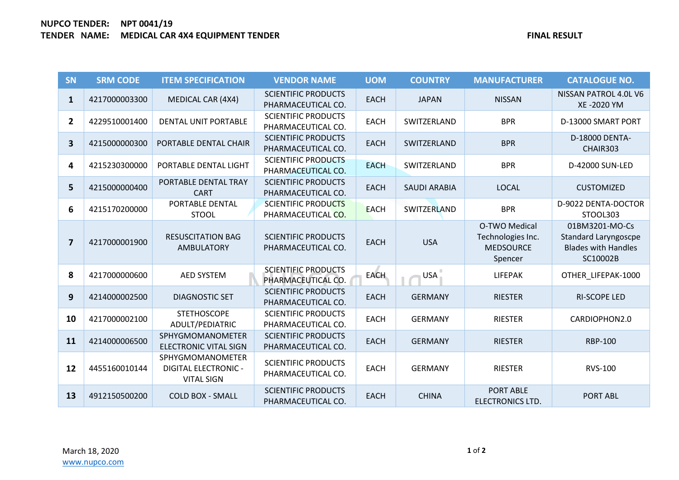## **NUPCO TENDER: NPT 0041/19 TENDER NAME: MEDICAL CAR 4X4 EQUIPMENT TENDER FINAL RESULT**

| <b>SN</b>               | <b>SRM CODE</b> | <b>ITEM SPECIFICATION</b>                                            | <b>VENDOR NAME</b>                               | <b>UOM</b>  | <b>COUNTRY</b>      | <b>MANUFACTURER</b>                                               | <b>CATALOGUE NO.</b>                                                                    |
|-------------------------|-----------------|----------------------------------------------------------------------|--------------------------------------------------|-------------|---------------------|-------------------------------------------------------------------|-----------------------------------------------------------------------------------------|
| $\mathbf{1}$            | 4217000003300   | <b>MEDICAL CAR (4X4)</b>                                             | <b>SCIENTIFIC PRODUCTS</b><br>PHARMACEUTICAL CO. | <b>EACH</b> | <b>JAPAN</b>        | <b>NISSAN</b>                                                     | NISSAN PATROL 4.0L V6<br>XE-2020 YM                                                     |
| $\overline{2}$          | 4229510001400   | <b>DENTAL UNIT PORTABLE</b>                                          | <b>SCIENTIFIC PRODUCTS</b><br>PHARMACEUTICAL CO. | <b>EACH</b> | SWITZERLAND         | <b>BPR</b>                                                        | D-13000 SMART PORT                                                                      |
| 3                       | 4215000000300   | PORTABLE DENTAL CHAIR                                                | <b>SCIENTIFIC PRODUCTS</b><br>PHARMACEUTICAL CO. | <b>EACH</b> | SWITZERLAND         | <b>BPR</b>                                                        | D-18000 DENTA-<br>CHAIR303                                                              |
| 4                       | 4215230300000   | PORTABLE DENTAL LIGHT                                                | <b>SCIENTIFIC PRODUCTS</b><br>PHARMACEUTICAL CO. | <b>EACH</b> | SWITZERLAND         | <b>BPR</b>                                                        | D-42000 SUN-LED                                                                         |
| 5                       | 4215000000400   | PORTABLE DENTAL TRAY<br><b>CART</b>                                  | <b>SCIENTIFIC PRODUCTS</b><br>PHARMACEUTICAL CO. | <b>EACH</b> | <b>SAUDI ARABIA</b> | <b>LOCAL</b>                                                      | <b>CUSTOMIZED</b>                                                                       |
| 6                       | 4215170200000   | PORTABLE DENTAL<br><b>STOOL</b>                                      | <b>SCIENTIFIC PRODUCTS</b><br>PHARMACEUTICAL CO. | <b>EACH</b> | SWITZERLAND         | <b>BPR</b>                                                        | D-9022 DENTA-DOCTOR<br>STOOL303                                                         |
| $\overline{\mathbf{z}}$ | 4217000001900   | <b>RESUSCITATION BAG</b><br><b>AMBULATORY</b>                        | <b>SCIENTIFIC PRODUCTS</b><br>PHARMACEUTICAL CO. | <b>EACH</b> | <b>USA</b>          | O-TWO Medical<br>Technologies Inc.<br><b>MEDSOURCE</b><br>Spencer | 01BM3201-MO-Cs<br><b>Standard Laryngoscpe</b><br><b>Blades with Handles</b><br>SC10002B |
| 8                       | 4217000000600   | <b>AED SYSTEM</b>                                                    | <b>SCIENTIFIC PRODUCTS</b><br>PHARMACEUTICAL CO. | <b>EACH</b> | <b>USA</b>          | <b>LIFEPAK</b>                                                    | OTHER LIFEPAK-1000                                                                      |
| 9                       | 4214000002500   | <b>DIAGNOSTIC SET</b>                                                | <b>SCIENTIFIC PRODUCTS</b><br>PHARMACEUTICAL CO. | <b>EACH</b> | <b>GERMANY</b>      | <b>RIESTER</b>                                                    | <b>RI-SCOPE LED</b>                                                                     |
| 10                      | 4217000002100   | <b>STETHOSCOPE</b><br>ADULT/PEDIATRIC                                | <b>SCIENTIFIC PRODUCTS</b><br>PHARMACEUTICAL CO. | <b>EACH</b> | <b>GERMANY</b>      | <b>RIESTER</b>                                                    | CARDIOPHON2.0                                                                           |
| 11                      | 4214000006500   | SPHYGMOMANOMETER<br><b>ELECTRONIC VITAL SIGN</b>                     | <b>SCIENTIFIC PRODUCTS</b><br>PHARMACEUTICAL CO. | <b>EACH</b> | <b>GERMANY</b>      | <b>RIESTER</b>                                                    | <b>RBP-100</b>                                                                          |
| 12                      | 4455160010144   | SPHYGMOMANOMETER<br><b>DIGITAL ELECTRONIC -</b><br><b>VITAL SIGN</b> | <b>SCIENTIFIC PRODUCTS</b><br>PHARMACEUTICAL CO. | <b>EACH</b> | <b>GERMANY</b>      | <b>RIESTER</b>                                                    | <b>RVS-100</b>                                                                          |
| 13                      | 4912150500200   | <b>COLD BOX - SMALL</b>                                              | <b>SCIENTIFIC PRODUCTS</b><br>PHARMACEUTICAL CO. | <b>EACH</b> | <b>CHINA</b>        | <b>PORT ABLE</b><br><b>ELECTRONICS LTD.</b>                       | <b>PORT ABL</b>                                                                         |